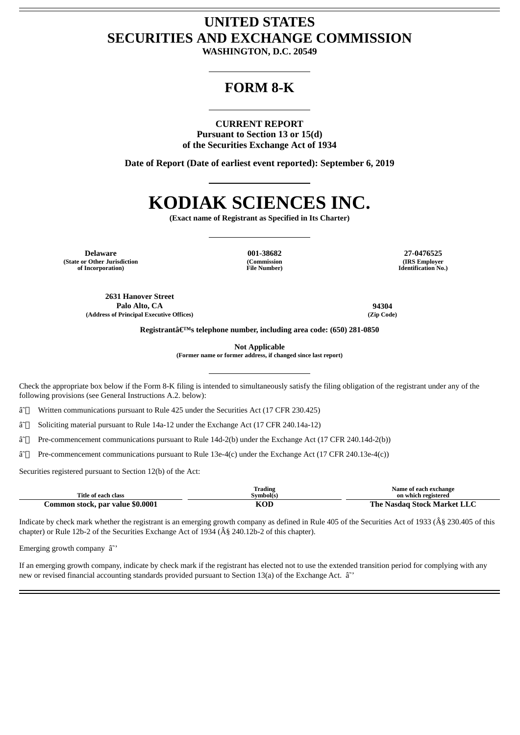## **UNITED STATES SECURITIES AND EXCHANGE COMMISSION**

**WASHINGTON, D.C. 20549**

## **FORM 8-K**

**CURRENT REPORT Pursuant to Section 13 or 15(d) of the Securities Exchange Act of 1934**

**Date of Report (Date of earliest event reported): September 6, 2019**

# **KODIAK SCIENCES INC.**

**(Exact name of Registrant as Specified in Its Charter)**

**Delaware 001-38682 27-0476525 (State or Other Jurisdiction of Incorporation)**

**(Commission File Number)**

**(IRS Employer Identification No.)**

**2631 Hanover Street Palo Alto, CA 94304 (Address of Principal Executive Offices) (Zip Code)**

**Registrant's telephone number, including area code: (650) 281-0850**

**Not Applicable**

**(Former name or former address, if changed since last report)**

Check the appropriate box below if the Form 8-K filing is intended to simultaneously satisfy the filing obligation of the registrant under any of the following provisions (see General Instructions A.2. below):

â~<sup>1</sup> Written communications pursuant to Rule 425 under the Securities Act (17 CFR 230.425)

â~□ Soliciting material pursuant to Rule 14a-12 under the Exchange Act (17 CFR 240.14a-12)

â˜ Pre-commencement communications pursuant to Rule 14d-2(b) under the Exchange Act (17 CFR 240.14d-2(b))

â˜ Pre-commencement communications pursuant to Rule 13e-4(c) under the Exchange Act (17 CFR 240.13e-4(c))

Securities registered pursuant to Section 12(b) of the Act:

| Title of each class              | Trading<br>Symbol(s) | Name of each exchange<br>on which registered |
|----------------------------------|----------------------|----------------------------------------------|
| Common stock, par value \$0.0001 | KOD                  | The Nasdag Stock Market LLC                  |

Indicate by check mark whether the registrant is an emerging growth company as defined in Rule 405 of the Securities Act of 1933 (§ 230.405 of this chapter) or Rule 12b-2 of the Securities Exchange Act of 1934 ( $\hat{A}\$ § 240.12b-2 of this chapter).

Emerging growth company  $\hat{a}^{\sim}$ 

If an emerging growth company, indicate by check mark if the registrant has elected not to use the extended transition period for complying with any new or revised financial accounting standards provided pursuant to Section 13(a) of the Exchange Act.  $\hat{a}^*$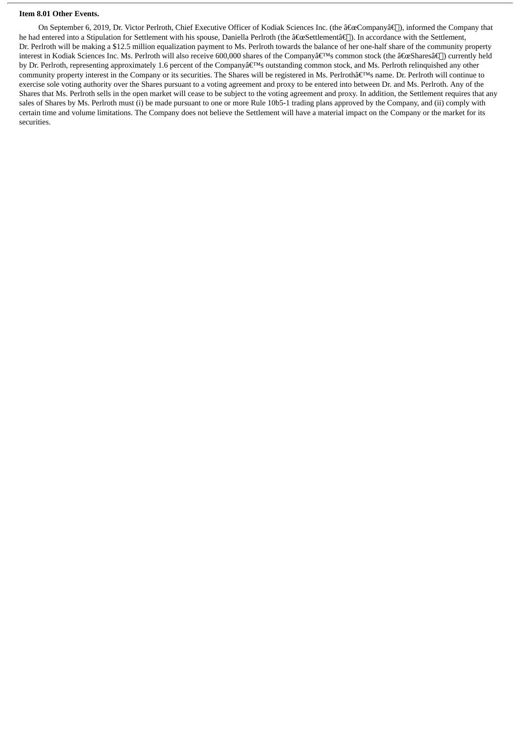#### **Item 8.01 Other Events.**

On September 6, 2019, Dr. Victor Perlroth, Chief Executive Officer of Kodiak Sciences Inc. (the  $\frac{2}{\pi}$ Company $\frac{2}{\pi}$ ), informed the Company that he had entered into a Stipulation for Settlement with his spouse, Daniella Perlroth (the "Settlementâ€). In accordance with the Settlement, Dr. Perlroth will be making a \$12.5 million equalization payment to Ms. Perlroth towards the balance of her one-half share of the community property interest in Kodiak Sciences Inc. Ms. Perlroth will also receive 600,000 shares of the Company's common stock (the "Sharesâ€∏) currently held by Dr. Perlroth, representing approximately 1.6 percent of the Company's outstanding common stock, and Ms. Perlroth relinquished any other community property interest in the Company or its securities. The Shares will be registered in Ms. Perlroth's name. Dr. Perlroth will continue to exercise sole voting authority over the Shares pursuant to a voting agreement and proxy to be entered into between Dr. and Ms. Perlroth. Any of the Shares that Ms. Perlroth sells in the open market will cease to be subject to the voting agreement and proxy. In addition, the Settlement requires that any sales of Shares by Ms. Perlroth must (i) be made pursuant to one or more Rule 10b5-1 trading plans approved by the Company, and (ii) comply with certain time and volume limitations. The Company does not believe the Settlement will have a material impact on the Company or the market for its securities.